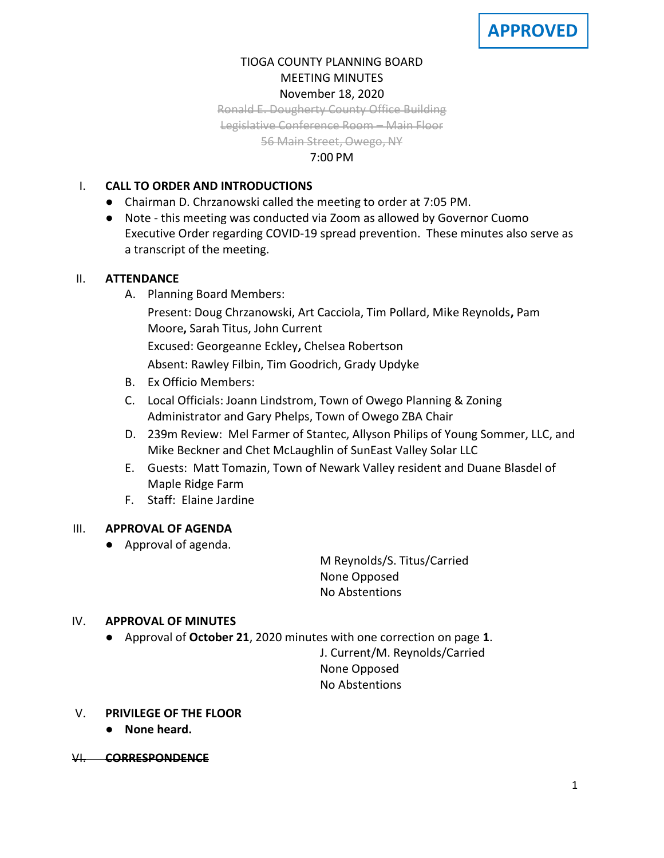# TIOGA COUNTY PLANNING BOARD MEETING MINUTES November 18, 2020

Ronald E. Dougherty County Office Building

Legislative Conference Room – Main Floor

56 Main Street, Owego, NY

### 7:00 PM

## I. **CALL TO ORDER AND INTRODUCTIONS**

- Chairman D. Chrzanowski called the meeting to order at 7:05 PM.
- Note this meeting was conducted via Zoom as allowed by Governor Cuomo Executive Order regarding COVID-19 spread prevention. These minutes also serve as a transcript of the meeting.

## II. **ATTENDANCE**

- A. Planning Board Members:
	- Present: Doug Chrzanowski, Art Cacciola, Tim Pollard, Mike Reynolds**,** Pam Moore**,** Sarah Titus, John Current

Excused: Georgeanne Eckley**,** Chelsea Robertson

Absent: Rawley Filbin, Tim Goodrich, Grady Updyke

- B. Ex Officio Members:
- C. Local Officials: Joann Lindstrom, Town of Owego Planning & Zoning Administrator and Gary Phelps, Town of Owego ZBA Chair
- D. 239m Review: Mel Farmer of Stantec, Allyson Philips of Young Sommer, LLC, and Mike Beckner and Chet McLaughlin of SunEast Valley Solar LLC
- E. Guests: Matt Tomazin, Town of Newark Valley resident and Duane Blasdel of Maple Ridge Farm
- F. Staff: Elaine Jardine

## III. **APPROVAL OF AGENDA**

● Approval of agenda.

M Reynolds/S. Titus/Carried None Opposed No Abstentions

## IV. **APPROVAL OF MINUTES**

● Approval of **October 21**, 2020 minutes with one correction on page **1**.

J. Current/M. Reynolds/Carried None Opposed No Abstentions

- V. **PRIVILEGE OF THE FLOOR**
	- **None heard.**
- VI. **CORRESPONDENCE**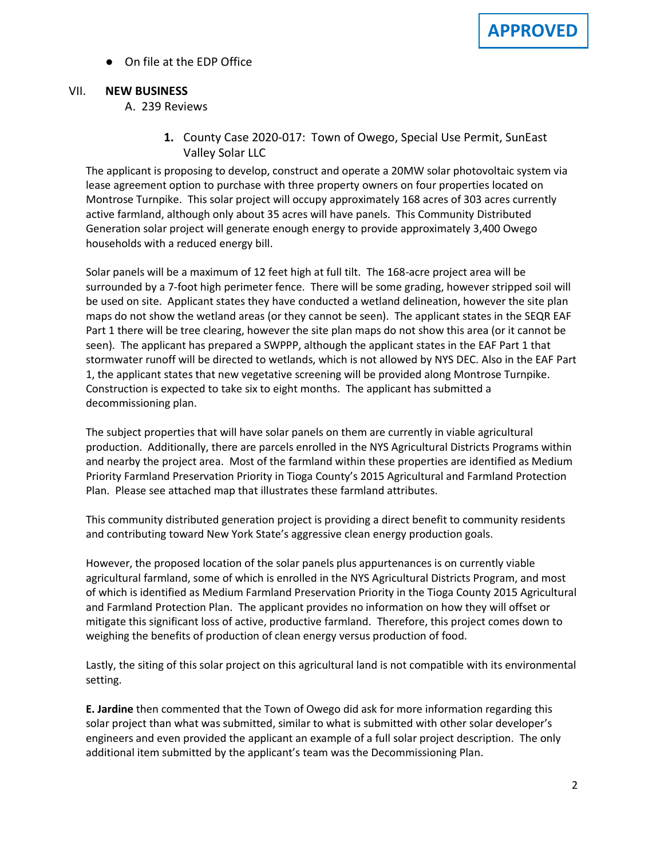● On file at the EDP Office

### VII. **NEW BUSINESS**

### A. A. 239 Reviews

**1.** County Case 2020-017: Town of Owego, Special Use Permit, SunEast Valley Solar LLC

The applicant is proposing to develop, construct and operate a 20MW solar photovoltaic system via lease agreement option to purchase with three property owners on four properties located on Montrose Turnpike. This solar project will occupy approximately 168 acres of 303 acres currently active farmland, although only about 35 acres will have panels. This Community Distributed Generation solar project will generate enough energy to provide approximately 3,400 Owego households with a reduced energy bill.

Solar panels will be a maximum of 12 feet high at full tilt. The 168-acre project area will be surrounded by a 7-foot high perimeter fence. There will be some grading, however stripped soil will be used on site. Applicant states they have conducted a wetland delineation, however the site plan maps do not show the wetland areas (or they cannot be seen). The applicant states in the SEQR EAF Part 1 there will be tree clearing, however the site plan maps do not show this area (or it cannot be seen). The applicant has prepared a SWPPP, although the applicant states in the EAF Part 1 that stormwater runoff will be directed to wetlands, which is not allowed by NYS DEC. Also in the EAF Part 1, the applicant states that new vegetative screening will be provided along Montrose Turnpike. Construction is expected to take six to eight months. The applicant has submitted a decommissioning plan.

The subject properties that will have solar panels on them are currently in viable agricultural production. Additionally, there are parcels enrolled in the NYS Agricultural Districts Programs within and nearby the project area. Most of the farmland within these properties are identified as Medium Priority Farmland Preservation Priority in Tioga County's 2015 Agricultural and Farmland Protection Plan. Please see attached map that illustrates these farmland attributes.

This community distributed generation project is providing a direct benefit to community residents and contributing toward New York State's aggressive clean energy production goals.

However, the proposed location of the solar panels plus appurtenances is on currently viable agricultural farmland, some of which is enrolled in the NYS Agricultural Districts Program, and most of which is identified as Medium Farmland Preservation Priority in the Tioga County 2015 Agricultural and Farmland Protection Plan. The applicant provides no information on how they will offset or mitigate this significant loss of active, productive farmland. Therefore, this project comes down to weighing the benefits of production of clean energy versus production of food.

Lastly, the siting of this solar project on this agricultural land is not compatible with its environmental setting.

**E. Jardine** then commented that the Town of Owego did ask for more information regarding this solar project than what was submitted, similar to what is submitted with other solar developer's engineers and even provided the applicant an example of a full solar project description. The only additional item submitted by the applicant's team was the Decommissioning Plan.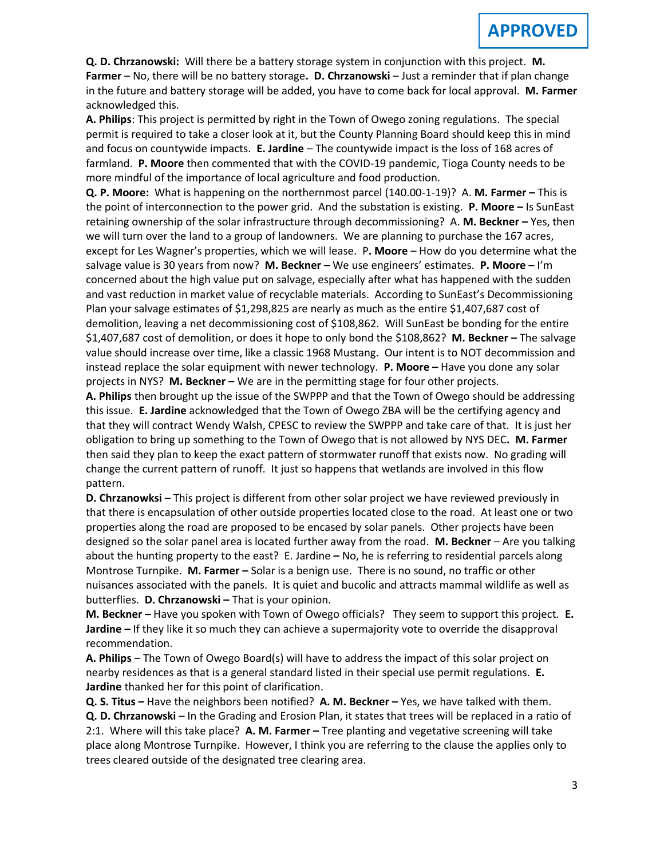**Q. D. Chrzanowski:** Will there be a battery storage system in conjunction with this project. **M. Farmer** – No, there will be no battery storage**. D. Chrzanowski** – Just a reminder that if plan change in the future and battery storage will be added, you have to come back for local approval. **M. Farmer** acknowledged this.

**A. Philips**: This project is permitted by right in the Town of Owego zoning regulations. The special permit is required to take a closer look at it, but the County Planning Board should keep this in mind and focus on countywide impacts. **E. Jardine** – The countywide impact is the loss of 168 acres of farmland. **P. Moore** then commented that with the COVID-19 pandemic, Tioga County needs to be more mindful of the importance of local agriculture and food production.

**Q. P. Moore:** What is happening on the northernmost parcel (140.00-1-19)?A. **M. Farmer –** This is the point of interconnection to the power grid. And the substation is existing. **P. Moore –** Is SunEast retaining ownership of the solar infrastructure through decommissioning?A. **M. Beckner –** Yes, then we will turn over the land to a group of landowners. We are planning to purchase the 167 acres, except for Les Wagner's properties, which we will lease.P**. Moore** – How do you determine what the salvage value is 30 years from now? **M. Beckner –** We use engineers' estimates. **P. Moore –** I'm concerned about the high value put on salvage, especially after what has happened with the sudden and vast reduction in market value of recyclable materials. According to SunEast's Decommissioning Plan your salvage estimates of \$1,298,825 are nearly as much as the entire \$1,407,687 cost of demolition, leaving a net decommissioning cost of \$108,862. Will SunEast be bonding for the entire \$1,407,687 cost of demolition, or does it hope to only bond the \$108,862? **M. Beckner –** The salvage value should increase over time, like a classic 1968 Mustang. Our intent is to NOT decommission and instead replace the solar equipment with newer technology. **P. Moore –** Have you done any solar projects in NYS? **M. Beckner –** We are in the permitting stage for four other projects.

**A. Philips** then brought up the issue of the SWPPP and that the Town of Owego should be addressing this issue. **E. Jardine** acknowledged that the Town of Owego ZBA will be the certifying agency and that they will contract Wendy Walsh, CPESC to review the SWPPP and take care of that. It is just her obligation to bring up something to the Town of Owego that is not allowed by NYS DEC**. M. Farmer** then said they plan to keep the exact pattern of stormwater runoff that exists now. No grading will change the current pattern of runoff. It just so happens that wetlands are involved in this flow pattern.

**D. Chrzanowksi** – This project is different from other solar project we have reviewed previously in that there is encapsulation of other outside properties located close to the road. At least one or two properties along the road are proposed to be encased by solar panels. Other projects have been designed so the solar panel area is located further away from the road. **M. Beckner** – Are you talking about the hunting property to the east?E. Jardine **–** No, he is referring to residential parcels along Montrose Turnpike. **M. Farmer –** Solar is a benign use. There is no sound, no traffic or other nuisances associated with the panels. It is quiet and bucolic and attracts mammal wildlife as well as butterflies. **D. Chrzanowski –** That is your opinion.

**M. Beckner –** Have you spoken with Town of Owego officials? They seem to support this project. **E. Jardine –** If they like it so much they can achieve a supermajority vote to override the disapproval recommendation.

**A. Philips** – The Town of Owego Board(s) will have to address the impact of this solar project on nearby residences as that is a general standard listed in their special use permit regulations. **E. Jardine** thanked her for this point of clarification.

**Q. S. Titus –** Have the neighbors been notified? **A. M. Beckner –** Yes, we have talked with them. **Q. D. Chrzanowski** – In the Grading and Erosion Plan, it states that trees will be replaced in a ratio of 2:1. Where will this take place? **A. M. Farmer –** Tree planting and vegetative screening will take place along Montrose Turnpike. However, I think you are referring to the clause the applies only to trees cleared outside of the designated tree clearing area.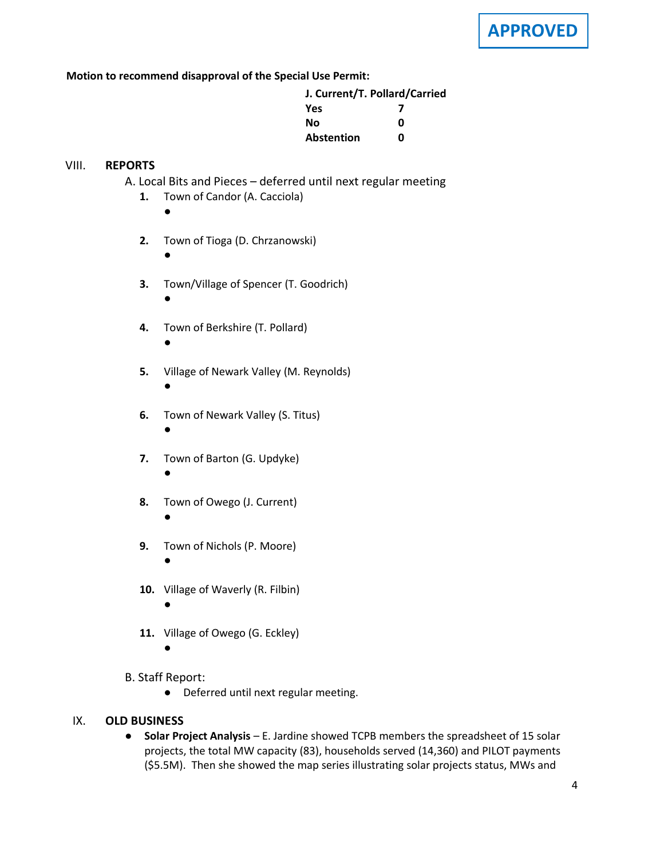**Motion to recommend disapproval of the Special Use Permit:**

| J. Current/T. Pollard/Carried |   |
|-------------------------------|---|
| <b>Yes</b>                    |   |
| Nο                            | ŋ |
| <b>Abstention</b>             | n |

### VIII. **REPORTS**

- **A.** A. Local Bits and Pieces deferred until next regular meeting
	- **1.** Town of Candor (A. Cacciola)
		- ●

●

- **2.** Town of Tioga (D. Chrzanowski)
- **3.** Town/Village of Spencer (T. Goodrich)
	- ●

●

- **4.** Town of Berkshire (T. Pollard)
- **5.** Village of Newark Valley (M. Reynolds) ●
- **6.** Town of Newark Valley (S. Titus) ●
- **7.** Town of Barton (G. Updyke) ●
- **8.** Town of Owego (J. Current) ●
- **9.** Town of Nichols (P. Moore) ●
- **10.** Village of Waverly (R. Filbin) ●
- **11.** Village of Owego (G. Eckley)
	- ●
- B. Staff Report:
	- Deferred until next regular meeting.

#### IX. **OLD BUSINESS**

● **Solar Project Analysis** – E. Jardine showed TCPB members the spreadsheet of 15 solar projects, the total MW capacity (83), households served (14,360) and PILOT payments (\$5.5M). Then she showed the map series illustrating solar projects status, MWs and